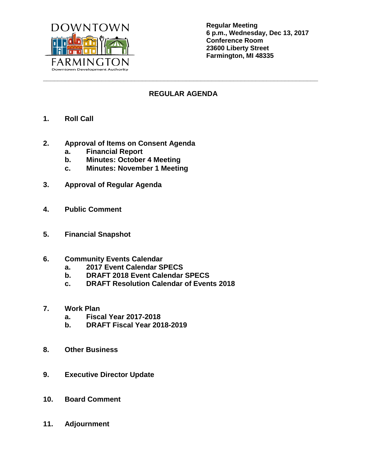

**Regular Meeting 6 p.m., Wednesday, Dec 13, 2017 Conference Room 23600 Liberty Street Farmington, MI 48335**

# **REGULAR AGENDA**

**\_\_\_\_\_\_\_\_\_\_\_\_\_\_\_\_\_\_\_\_\_\_\_\_\_\_\_\_\_\_\_\_\_\_\_\_\_\_\_\_\_\_\_\_\_\_\_\_\_\_\_\_\_\_\_\_\_\_\_\_\_\_\_\_\_\_\_\_\_\_\_\_\_\_\_**

- **1. Roll Call**
- **2. Approval of Items on Consent Agenda**
	- **a. Financial Report**
	- **b. Minutes: October 4 Meeting**
	- **c. Minutes: November 1 Meeting**
- **3. Approval of Regular Agenda**
- **4. Public Comment**
- **5. Financial Snapshot**
- **6. Community Events Calendar**
	- **a. 2017 Event Calendar SPECS**
	- **b. DRAFT 2018 Event Calendar SPECS**
	- **c. DRAFT Resolution Calendar of Events 2018**
- **7. Work Plan**
	- **a. Fiscal Year 2017-2018**
	- **b. DRAFT Fiscal Year 2018-2019**
- **8. Other Business**
- **9. Executive Director Update**
- **10. Board Comment**
- **11. Adjournment**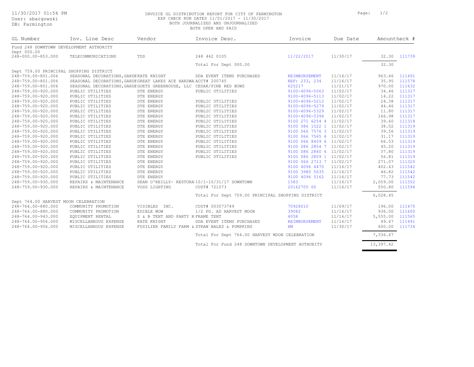User: sbargowski DB: Farmington

#### 11/30/2017 01:54 PM INVOICE GL DISTRIBUTION REPORT FOR CITY OF FARMINGTON Page: 1/2 EXP CHECK RUN DATES 11/01/2017 - 11/30/2017 BOTH JOURNALIZED AND UNJOURNALIZED BOTH OPEN AND PAID

| GL Number                               | Inv. Line Desc<br>Vendor<br>Invoice Desc.<br>Invoice            |                                   | Due Date                                                              | Amountheck #             |          |               |              |
|-----------------------------------------|-----------------------------------------------------------------|-----------------------------------|-----------------------------------------------------------------------|--------------------------|----------|---------------|--------------|
| Fund 248 DOWNTOWN DEVELOPMENT AUTHORITY |                                                                 |                                   |                                                                       |                          |          |               |              |
| Dept 000.00                             |                                                                 |                                   |                                                                       |                          |          |               |              |
| 248-000.00-853.000                      | TELECOMMUNICATIONS                                              | TDS                               | 248 442 0105                                                          | 11/22/2017               | 11/30/17 |               | 32.30 111739 |
|                                         |                                                                 |                                   | Total For Dept 000.00                                                 |                          |          | 32.30         |              |
| Dept 759.00 PRINCIPAL SHOPPING DISTRICT |                                                                 |                                   |                                                                       |                          |          |               |              |
| 248-759.00-801.006                      | SEASONAL DECORATIONS, GARDEKATE KNIGHT                          |                                   | DDA EVENT ITEMS PURCHASED                                             | REIMBURSEMENT            | 11/16/17 | 963.66 111491 |              |
| 248-759.00-801.006                      | SEASONAL DECORATIONS, GARDE GREAT LAKES ACE HARDWAIACCT# 200745 |                                   |                                                                       | REF: 233, 234            | 11/16/17 | 35.95         | 111578       |
| 248-759.00-801.006                      |                                                                 |                                   | SEASONAL DECORATIONS, GARDE GOETZ GREENHOUSE, LLC CEDAR/PINE RED BOWS | 625217                   | 11/21/17 | 970.00        | 111632       |
| 248-759.00-920.000                      | PUBLIC UTILITIES                                                | DTE ENERGY                        | PUBLIC UTILITIES                                                      | 9100-4096-5063           | 11/02/17 | 34.46         | 111317       |
| 248-759.00-920.000                      | PUBLIC UTILITIES                                                | DTE ENERGY                        |                                                                       | 9100-4096-5113           | 11/02/17 | 14.22         | 111317       |
| 248-759.00-920.000                      | PUBLIC UTILITIES                                                | DTE ENERGY                        | PUBLIC UTILITIES                                                      | 9100-4096-5212 11/02/17  |          | 24.38         | 111317       |
| 248-759.00-920.000                      | PUBLIC UTILITIES                                                | DTE ENERGY                        | PUBLIC UTILITIES                                                      | 9100-4096-5279 11/02/17  |          | 44.46         | 111317       |
| 248-759.00-920.000                      | PUBLIC UTILITIES                                                | DTE ENERGY                        | PUBLIC UTILITIES                                                      | 9100-4096-5329 11/02/17  |          | 11.80         | 111317       |
| 248-759.00-920.000                      | PUBLIC UTILITIES                                                | DTE ENERGY                        | PUBLIC UTILITIES                                                      | 9100-4096-5394 11/02/17  |          | 166.98        | 111317       |
| 248-759.00-920.000                      | PUBLIC UTILITIES                                                | DTE ENERGY                        | PUBLIC UTILITIES                                                      | 9100 271 6254 4 11/02/17 |          | 39.60         | 111318       |
| 248-759.00-920.000                      | PUBLIC UTILITIES                                                | DTE ENERGY                        | PUBLIC UTILITIES                                                      | 9100 086 1522 1 11/02/17 |          | 38.02         | 111319       |
| 248-759.00-920.000                      | PUBLIC UTILITIES                                                | DTE ENERGY                        | PUBLIC UTILITIES                                                      | 9100 066 7576 3 11/02/17 |          | 39.56         | 111319       |
| 248-759.00-920.000                      | PUBLIC UTILITIES                                                | DTE ENERGY                        | PUBLIC UTILITIES                                                      | 9100 066 7565 6 11/02/17 |          | 31.17         | 111319       |
| 248-759.00-920.000                      | PUBLIC UTILITIES                                                | DTE ENERGY                        | PUBLIC UTILITIES                                                      | 9100 066 8409 6 11/02/17 |          | 66.53         | 111319       |
| 248-759.00-920.000                      | PUBLIC UTILITIES                                                | DTE ENERGY                        | PUBLIC UTILITIES                                                      | 9100 086 2854 7 11/02/17 |          | 45.20         | 111319       |
| 248-759.00-920.000                      | PUBLIC UTILITIES                                                | DTE ENERGY                        | PUBLIC UTILITIES                                                      | 9100 086 2840 6 11/02/17 |          | 37.80         | 111319       |
| 248-759.00-920.000                      | PUBLIC UTILITIES                                                | DTE ENERGY                        | PUBLIC UTILITIES                                                      | 9100 086 2809 1 11/02/17 |          | 56.81         | 111319       |
| 248-759.00-920.000                      | PUBLIC UTILITIES                                                | DTE ENERGY                        |                                                                       | 9100 066 2713 7 11/02/17 |          | 271.07        | 111320       |
| 248-759.00-920.000                      | PUBLIC UTILITIES                                                | DTE ENERGY                        |                                                                       | 9100 4096 4470 11/16/17  |          | 402.43        | 111542       |
| 248-759.00-920.000                      | PUBLIC UTILITIES                                                | DTE ENERGY                        |                                                                       | 9100 3980 5635 11/16/17  |          | 46.82         | 111542       |
| 248-759.00-920.000                      | PUBLIC UTILITIES                                                | DTE ENERGY                        |                                                                       | 9100 4096 5162           | 11/16/17 | 77.73         | 111542       |
| 248-759.00-930.000                      | REPAIRS & MAINTENANCE                                           |                                   | SEAN O'REILLY- RESTORA'10/1-10/31/17 DOWNTOWN                         | 1583                     | 11/16/17 | 2,059.00      | 111552       |
| 248-759.00-930.000                      | REPAIRS & MAINTENANCE                                           | VOSS LIGHTING                     | CUST# 721073                                                          | 20162705 00              | 11/16/17 | 550.80        | 111594       |
|                                         |                                                                 |                                   | Total For Dept 759.00 PRINCIPAL SHOPPING DISTRICT                     |                          |          | 6,028.45      |              |
| Dept 764.00 HARVEST MOON CELEBRATION    |                                                                 |                                   |                                                                       |                          |          |               |              |
| 248-764.00-880.000                      | COMMUNITY PROMOTION                                             | VISIBLES INC.                     | CUST# 003073749                                                       | 70928010                 | 11/09/17 | 196.00        | 111470       |
| 248-764.00-880.000                      | COMMUNITY PROMOTION                                             | EDIBLE WOW                        | 1/2 PG. AD HARVEST MOON                                               | 39082                    | 11/16/17 | 936.00        | 111600       |
| 248-764.00-943.000                      | EQUIPMENT RENTAL                                                | S & B TENT AND PARTY RIFRAME TENT |                                                                       | 4058                     | 11/16/17 | 5,555.00      | 111565       |
| 248-764.00-956.000                      | MISCELLANEOUS EXPENSE                                           | KATE KNIGHT                       | DDA EVENT ITEMS PURCHASED                                             | REIMBURSEMENT            | 11/16/17 | 49.67         | 111491       |
| 248-764.00-956.000                      | MISCELLANEOUS EXPENSE                                           |                                   | FUSILIER FAMILY FARM & STRAW BALES & PUMPKINS                         | HM                       | 11/30/17 | 600.00 111734 |              |
|                                         |                                                                 |                                   | Total For Dept 764.00 HARVEST MOON CELEBRATION                        |                          |          | 7,336.67      |              |
|                                         |                                                                 |                                   | Total For Fund 248 DOWNTOWN DEVELOPMENT AUTHORITY                     |                          |          | 13,397.42     |              |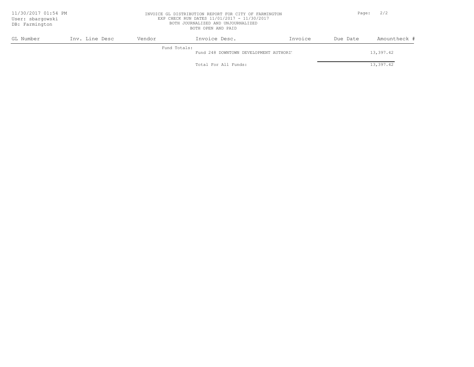| 11/30/2017 01:54 PM<br>User: sbargowski<br>DB: Farmington |                |        | INVOICE GL DISTRIBUTION REPORT FOR CITY OF FARMINGTON<br>EXP CHECK RUN DATES 11/01/2017 - 11/30/2017<br>BOTH JOURNALIZED AND UNJOURNALIZED<br>BOTH OPEN AND PAID |         | Page:    | 2/2          |
|-----------------------------------------------------------|----------------|--------|------------------------------------------------------------------------------------------------------------------------------------------------------------------|---------|----------|--------------|
| GL Number                                                 | Inv. Line Desc | Vendor | Invoice Desc.                                                                                                                                                    | Invoice | Due Date | Amountheck # |
|                                                           |                |        | Fund Totals:<br>Fund 248 DOWNTOWN DEVELOPMENT AUTHORI!                                                                                                           |         |          | 13,397.42    |
|                                                           |                |        | Total For All Funds:                                                                                                                                             |         |          | 13,397.42    |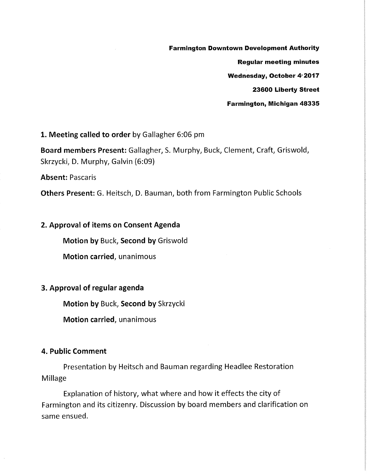**Farmington Downtown Development Authority Regular meeting minutes** Wednesday, October 4'2017 23600 Liberty Street Farmington, Michigan 48335

1. Meeting called to order by Gallagher 6:06 pm

Board members Present: Gallagher, S. Murphy, Buck, Clement, Craft, Griswold, Skrzycki, D. Murphy, Galvin (6:09)

**Absent: Pascaris** 

Others Present: G. Heitsch, D. Bauman, both from Farmington Public Schools

# 2. Approval of items on Consent Agenda

Motion by Buck, Second by Griswold

Motion carried, unanimous

# 3. Approval of regular agenda

Motion by Buck, Second by Skrzycki

Motion carried, unanimous

# 4. Public Comment

Presentation by Heitsch and Bauman regarding Headlee Restoration Millage

Explanation of history, what where and how it effects the city of Farmington and its citizenry. Discussion by board members and clarification on same ensued.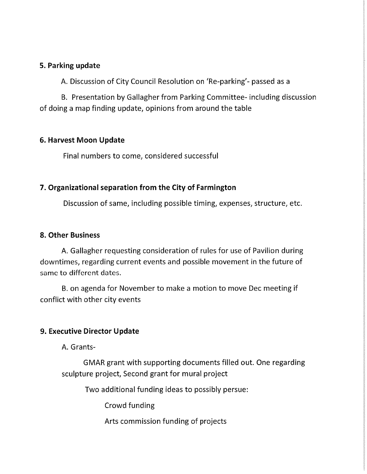# 5. Parking update

A. Discussion of City Council Resolution on 'Re-parking'- passed as a

B. Presentation by Gallagher from Parking Committee- including discussion of doing a map finding update, opinions from around the table

# 6. Harvest Moon Update

Final numbers to come, considered successful

# 7. Organizational separation from the City of Farmington

Discussion of same, including possible timing, expenses, structure, etc.

# 8. Other Business

A. Gallagher requesting consideration of rules for use of Pavilion during downtimes, regarding current events and possible movement in the future of same to different dates.

B. on agenda for November to make a motion to move Dec meeting if conflict with other city events

# 9. Executive Director Update

A. Grants-

GMAR grant with supporting documents filled out. One regarding sculpture project, Second grant for mural project

Two additional funding ideas to possibly persue:

Crowd funding

Arts commission funding of projects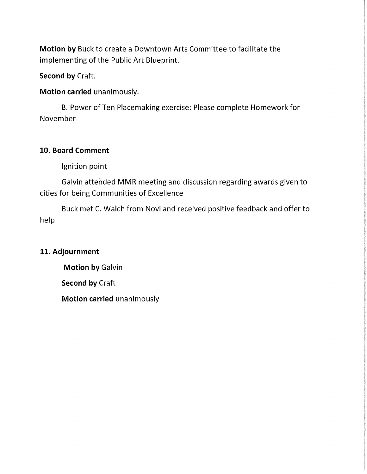Motion by Buck to create a Downtown Arts Committee to facilitate the implementing of the Public Art Blueprint.

Second by Craft.

Motion carried unanimously.

B. Power of Ten Placemaking exercise: Please complete Homework for November

# 10. Board Comment

Ignition point

Galvin attended MMR meeting and discussion regarding awards given to cities for being Communities of Excellence

Buck met C. Walch from Novi and received positive feedback and offer to help

# 11. Adjournment

**Motion by Galvin** 

**Second by Craft** 

Motion carried unanimously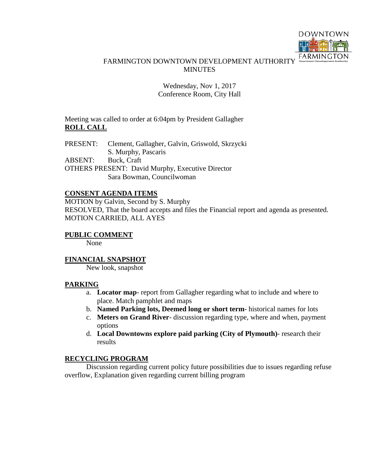

# FARMINGTON DOWNTOWN DEVELOPMENT AUTHORITY **MINUTES**

# Wednesday, Nov 1, 2017 Conference Room, City Hall

Meeting was called to order at 6:04pm by President Gallagher **ROLL CALL**

PRESENT: Clement, Gallagher, Galvin, Griswold, Skrzycki S. Murphy, Pascaris ABSENT: Buck, Craft OTHERS PRESENT: David Murphy, Executive Director Sara Bowman, Councilwoman

#### **CONSENT AGENDA ITEMS**

MOTION by Galvin, Second by S. Murphy RESOLVED, That the board accepts and files the Financial report and agenda as presented. MOTION CARRIED, ALL AYES

#### **PUBLIC COMMENT**

None

#### **FINANCIAL SNAPSHOT**

New look, snapshot

#### **PARKING**

- a. **Locator map** report from Gallagher regarding what to include and where to place. Match pamphlet and maps
- b. **Named Parking lots, Deemed long or short term** historical names for lots
- c. **Meters on Grand River** discussion regarding type, where and when, payment options
- d. **Local Downtowns explore paid parking (City of Plymouth)** research their results

#### **RECYCLING PROGRAM**

Discussion regarding current policy future possibilities due to issues regarding refuse overflow, Explanation given regarding current billing program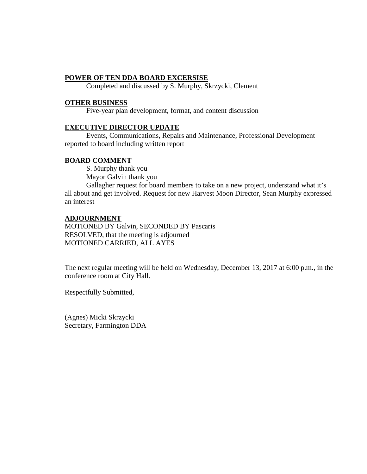#### **POWER OF TEN DDA BOARD EXCERSISE**

Completed and discussed by S. Murphy, Skrzycki, Clement

#### **OTHER BUSINESS**

Five-year plan development, format, and content discussion

#### **EXECUTIVE DIRECTOR UPDATE**

Events, Communications, Repairs and Maintenance, Professional Development reported to board including written report

#### **BOARD COMMENT**

S. Murphy thank you Mayor Galvin thank you

Gallagher request for board members to take on a new project, understand what it's all about and get involved. Request for new Harvest Moon Director, Sean Murphy expressed an interest

#### **ADJOURNMENT**

MOTIONED BY Galvin, SECONDED BY Pascaris RESOLVED, that the meeting is adjourned MOTIONED CARRIED, ALL AYES

The next regular meeting will be held on Wednesday, December 13, 2017 at 6:00 p.m., in the conference room at City Hall.

Respectfully Submitted,

(Agnes) Micki Skrzycki Secretary, Farmington DDA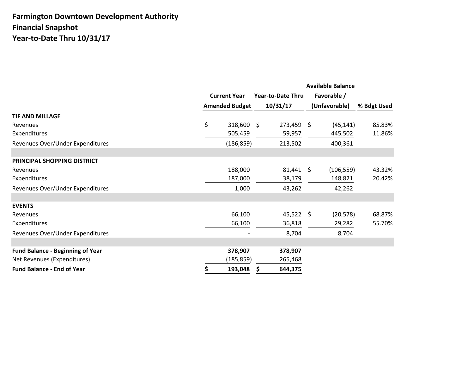# **Farmington Downtown Development Authority Financial Snapshot Year-to-Date Thru 10/31/17**

|                                         |                       | <b>Available Balance</b> |                                         |               |            |             |  |
|-----------------------------------------|-----------------------|--------------------------|-----------------------------------------|---------------|------------|-------------|--|
|                                         | <b>Current Year</b>   |                          | Favorable /<br><b>Year-to-Date Thru</b> |               |            |             |  |
|                                         | <b>Amended Budget</b> | 10/31/17                 |                                         | (Unfavorable) |            | % Bdgt Used |  |
| <b>TIF AND MILLAGE</b>                  |                       |                          |                                         |               |            |             |  |
| Revenues                                | \$<br>318,600 \$      |                          | 273,459 \$                              |               | (45, 141)  | 85.83%      |  |
| Expenditures                            | 505,459               |                          | 59,957                                  |               | 445,502    | 11.86%      |  |
| Revenues Over/Under Expenditures        | (186, 859)            |                          | 213,502                                 |               | 400,361    |             |  |
|                                         |                       |                          |                                         |               |            |             |  |
| PRINCIPAL SHOPPING DISTRICT             |                       |                          |                                         |               |            |             |  |
| Revenues                                | 188,000               |                          | $81,441$ \$                             |               | (106, 559) | 43.32%      |  |
| Expenditures                            | 187,000               |                          | 38,179                                  |               | 148,821    | 20.42%      |  |
| Revenues Over/Under Expenditures        | 1,000                 |                          | 43,262                                  |               | 42,262     |             |  |
|                                         |                       |                          |                                         |               |            |             |  |
| <b>EVENTS</b>                           |                       |                          |                                         |               |            |             |  |
| Revenues                                | 66,100                |                          | $45,522$ \$                             |               | (20, 578)  | 68.87%      |  |
| Expenditures                            | 66,100                |                          | 36,818                                  |               | 29,282     | 55.70%      |  |
| Revenues Over/Under Expenditures        |                       |                          | 8,704                                   |               | 8,704      |             |  |
|                                         |                       |                          |                                         |               |            |             |  |
| <b>Fund Balance - Beginning of Year</b> | 378,907               |                          | 378,907                                 |               |            |             |  |
| Net Revenues (Expenditures)             | (185, 859)            |                          | 265,468                                 |               |            |             |  |
| <b>Fund Balance - End of Year</b>       | 193,048               | S                        | 644,375                                 |               |            |             |  |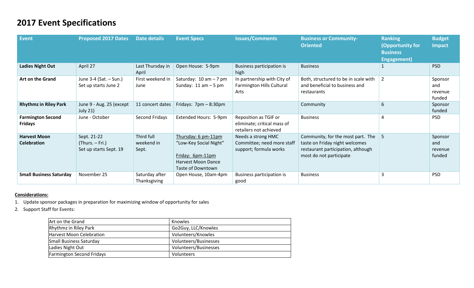# **2017 Event Specifications**

| <b>Event</b>                               | <b>Proposed 2017 Dates</b>                               | <b>Date details</b>               | <b>Event Specs</b>                                                                                                  | <b>Issues/Comments</b>                                                         | <b>Business or Community-</b><br><b>Oriented</b>                                                                                     | <b>Ranking</b><br>(Opportunity for<br><b>Business</b><br>Engagement) | <b>Budget</b><br><b>Impact</b>      |
|--------------------------------------------|----------------------------------------------------------|-----------------------------------|---------------------------------------------------------------------------------------------------------------------|--------------------------------------------------------------------------------|--------------------------------------------------------------------------------------------------------------------------------------|----------------------------------------------------------------------|-------------------------------------|
| <b>Ladies Night Out</b>                    | April 27                                                 | Last Thursday in<br>April         | Open House: 5-9pm                                                                                                   | Business participation is<br>high                                              | <b>Business</b>                                                                                                                      | 1                                                                    | <b>PSD</b>                          |
| <b>Art on the Grand</b>                    | June 3-4 (Sat. - Sun.)<br>Set up starts June 2           | First weekend in<br>June          | Saturday: $10 \text{ am} - 7 \text{ pm}$<br>Sunday: $11$ am $-5$ pm                                                 | In partnership with City of<br>Farmington Hills Cultural<br>Arts               | Both, structured to be in scale with<br>and beneficial to business and<br>restaurants                                                | $\overline{2}$                                                       | Sponsor<br>and<br>revenue<br>funded |
| <b>Rhythmz in Riley Park</b>               | June 9 - Aug. 25 (except<br><b>July 21)</b>              | 11 concert dates                  | Fridays: $7 \text{pm} - 8:30 \text{pm}$                                                                             |                                                                                | Community                                                                                                                            | 6                                                                    | Sponsor<br>funded                   |
| <b>Farmington Second</b><br><b>Fridays</b> | June - October                                           | Second Fridays                    | Extended Hours: 5-9pm                                                                                               | Reposition as TGIF or<br>eliminate; critical mass of<br>retailers not achieved | <b>Business</b>                                                                                                                      | 4                                                                    | <b>PSD</b>                          |
| <b>Harvest Moon</b><br><b>Celebration</b>  | Sept. 21-22<br>(Thurs. – Fri.)<br>Set up starts Sept. 19 | Third full<br>weekend in<br>Sept. | Thursday: 6 pm-11pm<br>"Low-Key Social Night"<br>Friday: 6pm-11pm<br>Harvest Moon Dance<br><b>Taste of Downtown</b> | Needs a strong HMC<br>Committee; need more staff<br>support; formula works     | Community, for the most part. The<br>taste on Friday night welcomes<br>restaurant participation, although<br>most do not participate | - 5                                                                  | Sponsor<br>and<br>revenue<br>funded |
| <b>Small Business Saturday</b>             | November 25                                              | Saturday after<br>Thanksgiving    | Open House, 10am-4pm                                                                                                | Business participation is<br>good                                              | <b>Business</b>                                                                                                                      | 3                                                                    | <b>PSD</b>                          |

#### **Considerations:**

- 1. Update sponsor packages in preparation for maximizing window of opportunity for sales
- 2. Support Staff for Events:

| Art on the Grand                 | Knowles               |
|----------------------------------|-----------------------|
| Rhythmz in Riley Park            | Go2Guy, LLC/Knowles   |
| <b>Harvest Moon Celebration</b>  | Volunteers/Knowles    |
| Small Business Saturday          | Volunteers/Businesses |
| Ladies Night Out                 | Volunteers/Businesses |
| <b>Farmington Second Fridays</b> | <b>Volunteers</b>     |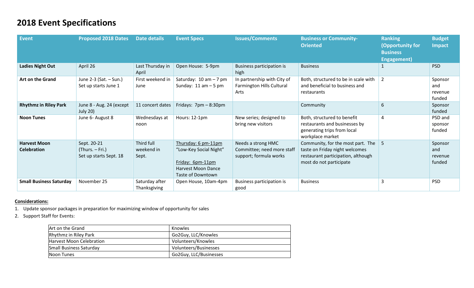# **2018 Event Specifications**

| <b>Event</b>                              | <b>Proposed 2018 Dates</b>                               | Date details                      | <b>Event Specs</b>                                                                                                  | <b>Issues/Comments</b>                                                     | <b>Business or Community-</b><br><b>Oriented</b>                                                                                                     | <b>Ranking</b><br>(Opportunity for<br><b>Business</b><br>Engagement) | <b>Budget</b><br>Impact             |
|-------------------------------------------|----------------------------------------------------------|-----------------------------------|---------------------------------------------------------------------------------------------------------------------|----------------------------------------------------------------------------|------------------------------------------------------------------------------------------------------------------------------------------------------|----------------------------------------------------------------------|-------------------------------------|
| <b>Ladies Night Out</b>                   | April 26                                                 | Last Thursday in<br>April         | Open House: 5-9pm                                                                                                   | Business participation is<br>high                                          | <b>Business</b>                                                                                                                                      |                                                                      | <b>PSD</b>                          |
| Art on the Grand                          | June 2-3 (Sat. - Sun.)<br>Set up starts June 1           | First weekend in<br>June          | Saturday: $10 \text{ am} - 7 \text{ pm}$<br>Sunday: $11$ am $-5$ pm                                                 | In partnership with City of<br>Farmington Hills Cultural<br>Arts           | Both, structured to be in scale with<br>and beneficial to business and<br>restaurants                                                                | $\overline{2}$                                                       | Sponsor<br>and<br>revenue<br>funded |
| <b>Rhythmz in Riley Park</b>              | June 8 - Aug. 24 (except<br>July 20)                     | 11 concert dates                  | Fridays: $7 \text{pm} - 8:30 \text{pm}$                                                                             |                                                                            | Community                                                                                                                                            | 6                                                                    | Sponsor<br>funded                   |
| <b>Noon Tunes</b>                         | June 6- August 8                                         | Wednesdays at<br>noon             | Hours: 12-1pm                                                                                                       | New series; designed to<br>bring new visitors                              | Both, structured to benefit<br>restaurants and businesses by<br>generating trips from local<br>workplace market                                      | $\overline{4}$                                                       | PSD and<br>sponsor<br>funded        |
| <b>Harvest Moon</b><br><b>Celebration</b> | Sept. 20-21<br>(Thurs. – Fri.)<br>Set up starts Sept. 18 | Third full<br>weekend in<br>Sept. | Thursday: 6 pm-11pm<br>"Low-Key Social Night"<br>Friday: 6pm-11pm<br>Harvest Moon Dance<br><b>Taste of Downtown</b> | Needs a strong HMC<br>Committee; need more staff<br>support; formula works | Community, for the most part. The $\vert 5 \vert$<br>taste on Friday night welcomes<br>restaurant participation, although<br>most do not participate |                                                                      | Sponsor<br>and<br>revenue<br>funded |
| <b>Small Business Saturday</b>            | November 25                                              | Saturday after<br>Thanksgiving    | Open House, 10am-4pm                                                                                                | Business participation is<br>good                                          | <b>Business</b>                                                                                                                                      |                                                                      | <b>PSD</b>                          |

#### **Considerations:**

- 1. Update sponsor packages in preparation for maximizing window of opportunity for sales
- 2. Support Staff for Events:

| Art on the Grand                | Knowles                |
|---------------------------------|------------------------|
| Rhythmz in Riley Park           | Go2Guy, LLC/Knowles    |
| <b>Harvest Moon Celebration</b> | Volunteers/Knowles     |
| <b>Small Business Saturday</b>  | Volunteers/Businesses  |
| <b>Noon Tunes</b>               | Go2Guy, LLC/Businesses |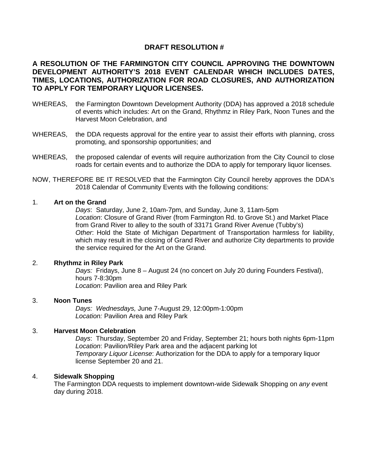#### **DRAFT RESOLUTION #**

# **A RESOLUTION OF THE FARMINGTON CITY COUNCIL APPROVING THE DOWNTOWN DEVELOPMENT AUTHORITY'S 2018 EVENT CALENDAR WHICH INCLUDES DATES, TIMES, LOCATIONS, AUTHORIZATION FOR ROAD CLOSURES, AND AUTHORIZATION TO APPLY FOR TEMPORARY LIQUOR LICENSES.**

- WHEREAS, the Farmington Downtown Development Authority (DDA) has approved a 2018 schedule of events which includes: Art on the Grand, Rhythmz in Riley Park, Noon Tunes and the Harvest Moon Celebration, and
- WHEREAS, the DDA requests approval for the entire year to assist their efforts with planning, cross promoting, and sponsorship opportunities; and
- WHEREAS, the proposed calendar of events will require authorization from the City Council to close roads for certain events and to authorize the DDA to apply for temporary liquor licenses.
- NOW, THEREFORE BE IT RESOLVED that the Farmington City Council hereby approves the DDA's 2018 Calendar of Community Events with the following conditions:

#### 1. **Art on the Grand**

*Days*: Saturday, June 2, 10am-7pm, and Sunday, June 3, 11am-5pm *Location*: Closure of Grand River (from Farmington Rd. to Grove St.) and Market Place from Grand River to alley to the south of 33171 Grand River Avenue (Tubby's) *Other*: Hold the State of Michigan Department of Transportation harmless for liability, which may result in the closing of Grand River and authorize City departments to provide the service required for the Art on the Grand.

#### 2. **Rhythmz in Riley Park**

*Days:* Fridays, June 8 – August 24 (no concert on July 20 during Founders Festival), hours 7-8:30pm *Location*: Pavilion area and Riley Park

#### 3. **Noon Tunes**

*Days: Wednesdays,* June 7-August 29, 12:00pm-1:00pm *Location:* Pavilion Area and Riley Park

#### 3. **Harvest Moon Celebration**

*Days*: Thursday, September 20 and Friday, September 21; hours both nights 6pm-11pm *Location*: Pavilion/Riley Park area and the adjacent parking lot *Temporary Liquor License*: Authorization for the DDA to apply for a temporary liquor license September 20 and 21.

#### 4. **Sidewalk Shopping**

The Farmington DDA requests to implement downtown-wide Sidewalk Shopping on *any* event day during 2018.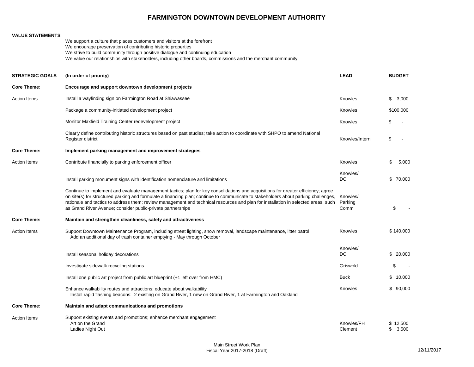#### **FARMINGTON DOWNTOWN DEVELOPMENT AUTHORITY**

#### **VALUE STATEMENTS**

We support a culture that places customers and visitors at the forefront We encourage preservation of contributing historic properties We strive to build community through positive dialogue and continuing education We value our relationships with stakeholders, including other boards, commissions and the merchant community

| <b>STRATEGIC GOALS</b> | (In order of priority)                                                                                                                                                                                                                                                                                                                                                                                                                                                        | <b>LEAD</b>                 | <b>BUDGET</b>           |
|------------------------|-------------------------------------------------------------------------------------------------------------------------------------------------------------------------------------------------------------------------------------------------------------------------------------------------------------------------------------------------------------------------------------------------------------------------------------------------------------------------------|-----------------------------|-------------------------|
| <b>Core Theme:</b>     | Encourage and support downtown development projects                                                                                                                                                                                                                                                                                                                                                                                                                           |                             |                         |
| <b>Action Items</b>    | Install a wayfinding sign on Farmington Road at Shiawassee                                                                                                                                                                                                                                                                                                                                                                                                                    | Knowles                     | \$<br>3,000             |
|                        | Package a community-initiated development project                                                                                                                                                                                                                                                                                                                                                                                                                             | Knowles                     | \$100,000               |
|                        | Monitor Maxfield Training Center redevelopment project                                                                                                                                                                                                                                                                                                                                                                                                                        | Knowles                     | \$                      |
|                        | Clearly define contributing historic structures based on past studies; take action to coordinate with SHPO to amend National<br>Register district                                                                                                                                                                                                                                                                                                                             | Knowles/Intern              | \$                      |
| Core Theme:            | Implement parking management and improvement strategies                                                                                                                                                                                                                                                                                                                                                                                                                       |                             |                         |
| <b>Action Items</b>    | Contribute financially to parking enforcement officer                                                                                                                                                                                                                                                                                                                                                                                                                         | Knowles                     | \$<br>5,000             |
|                        | Install parking monument signs with identification nomenclature and limitations                                                                                                                                                                                                                                                                                                                                                                                               | Knowles/<br>DC              | \$70,000                |
|                        | Continue to implement and evaluate management tactics; plan for key consolidations and acquisitions for greater efficiency; agree<br>on site(s) for structured parking and formulate a financing plan; continue to communicate to stakeholders about parking challenges,<br>rationale and tactics to address them; review management and technical resources and plan for installation in selected areas, such<br>as Grand River Avenue; consider public-private partnerships | Knowles/<br>Parking<br>Comm | \$                      |
| Core Theme:            | Maintain and strengthen cleanliness, safety and attractiveness                                                                                                                                                                                                                                                                                                                                                                                                                |                             |                         |
| <b>Action Items</b>    | Support Downtown Maintenance Program, including street lighting, snow removal, landscape maintenance, litter patrol<br>Add an additional day of trash container emptying - May through October                                                                                                                                                                                                                                                                                | Knowles                     | \$140,000               |
|                        | Install seasonal holiday decorations                                                                                                                                                                                                                                                                                                                                                                                                                                          | Knowles/<br>DC              | \$20,000                |
|                        | Investigate sidewalk recycling stations                                                                                                                                                                                                                                                                                                                                                                                                                                       | Griswold                    | \$                      |
|                        | Install one public art project from public art blueprint (+1 left over from HMC)                                                                                                                                                                                                                                                                                                                                                                                              | <b>Buck</b>                 | 10,000                  |
|                        | Enhance walkability routes and attractions; educate about walkability<br>Install rapid flashing beacons: 2 existing on Grand River, 1 new on Grand River, 1 at Farmington and Oakland                                                                                                                                                                                                                                                                                         | Knowles                     | \$90,000                |
| <b>Core Theme:</b>     | Maintain and adapt communications and promotions                                                                                                                                                                                                                                                                                                                                                                                                                              |                             |                         |
| <b>Action Items</b>    | Support existing events and promotions; enhance merchant engagement<br>Art on the Grand<br>Ladies Night Out                                                                                                                                                                                                                                                                                                                                                                   | Knowles/FH<br>Clement       | \$<br>\$12,500<br>3,500 |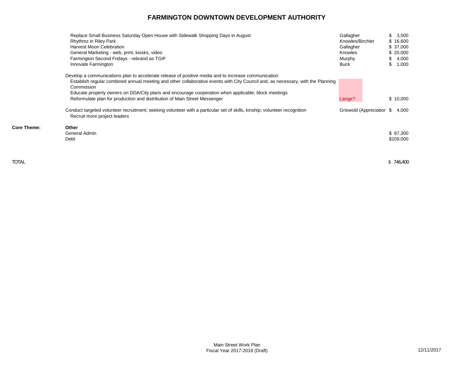#### **FARMINGTON DOWNTOWN DEVELOPMENT AUTHORITY**

| Replace Small Business Saturday Open House with Sidewalk Shopping Days in August<br>Rhythmz in Riley Park<br><b>Harvest Moon Celebration</b><br>General Marketing - web, print, kiosks, video<br>Farmington Second Fridays - rebrand as TGIF | Gallagher<br>Knowles/Birchler<br>Gallagher<br>Knowles<br>Murphy | \$<br>S | 3,500<br>\$16,600<br>\$37,000<br>\$20,000<br>4,000 |
|----------------------------------------------------------------------------------------------------------------------------------------------------------------------------------------------------------------------------------------------|-----------------------------------------------------------------|---------|----------------------------------------------------|
| Innovate Farmington                                                                                                                                                                                                                          | Buck                                                            | \$      | 1,000                                              |
| Develop a communications plan to accelerate release of positive media and to increase communication                                                                                                                                          |                                                                 |         |                                                    |
| Establish regular combined annual meeting and other collaborative events with City Council and, as necessary, with the Planning<br>Commission                                                                                                |                                                                 |         |                                                    |
| Educate property owners on DDA/City plans and encourage cooperation when applicable; block meetings<br>Reformulate plan for production and distribution of Main Street Messenger                                                             | Lange?                                                          |         | \$10,000                                           |
| Conduct targeted volunteer recruitment; seeking volunteer with a particular set of skills, kinship; volunteer recognition<br>Recruit more project leaders                                                                                    | Griswold (Appreciation \$                                       |         | 4,000                                              |
| Other                                                                                                                                                                                                                                        |                                                                 |         |                                                    |
| General Admin                                                                                                                                                                                                                                |                                                                 |         | \$ 87,300                                          |
| Debt                                                                                                                                                                                                                                         |                                                                 |         | \$109,000                                          |

**Core Theme:** 

TOTAL \$ 746,400